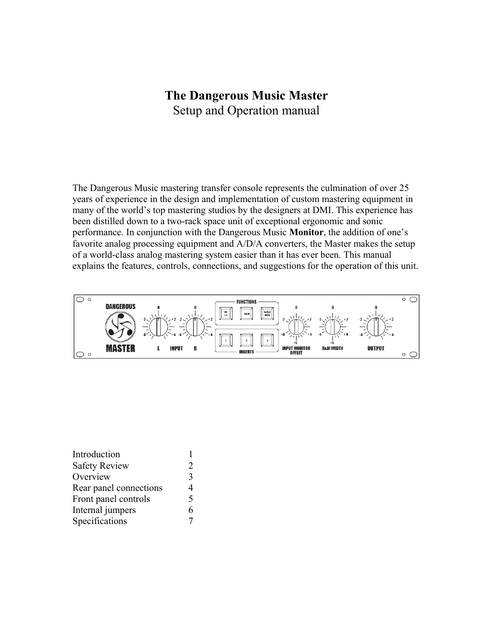# **The Dangerous Music Master** Setup and Operation manual

The Dangerous Music mastering transfer console represents the culmination of over 25 years of experience in the design and implementation of custom mastering equipment in many of the world's top mastering studios by the designers at DMI. This experience has been distilled down to a two-rack space unit of exceptional ergonomic and sonic performance. In conjunction with the Dangerous Music **Monitor**, the addition of one's favorite analog processing equipment and A/D/A converters, the Master makes the setup of a world-class analog mastering system easier than it has ever been. This manual explains the features, controls, connections, and suggestions for the operation of this unit.



| Introduction           |                             |
|------------------------|-----------------------------|
| <b>Safety Review</b>   | $\mathcal{D}_{\mathcal{L}}$ |
| Overview               | 3                           |
| Rear panel connections | 4                           |
| Front panel controls   | 5                           |
| Internal jumpers       | 6                           |
| Specifications         |                             |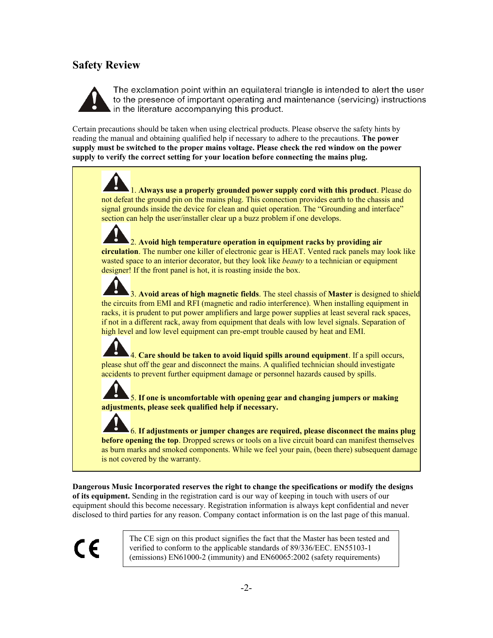## **Safety Review**



The exclamation point within an equilateral triangle is intended to alert the user to the presence of important operating and maintenance (servicing) instructions in the literature accompanying this product.

Certain precautions should be taken when using electrical products. Please observe the safety hints by reading the manual and obtaining qualified help if necessary to adhere to the precautions. **The power supply must be switched to the proper mains voltage. Please check the red window on the power supply to verify the correct setting for your location before connecting the mains plug.**

1. **Always use a properly grounded power supply cord with this product**. Please do not defeat the ground pin on the mains plug. This connection provides earth to the chassis and signal grounds inside the device for clean and quiet operation. The "Grounding and interface" section can help the user/installer clear up a buzz problem if one develops.

2. **Avoid high temperature operation in equipment racks by providing air circulation**. The number one killer of electronic gear is HEAT. Vented rack panels may look like wasted space to an interior decorator, but they look like *beauty* to a technician or equipment designer! If the front panel is hot, it is roasting inside the box.

3. **Avoid areas of high magnetic fields**. The steel chassis of **Master** is designed to shield the circuits from EMI and RFI (magnetic and radio interference). When installing equipment in racks, it is prudent to put power amplifiers and large power supplies at least several rack spaces, if not in a different rack, away from equipment that deals with low level signals. Separation of high level and low level equipment can pre-empt trouble caused by heat and EMI.

4. **Care should be taken to avoid liquid spills around equipment**. If a spill occurs, please shut off the gear and disconnect the mains. A qualified technician should investigate accidents to prevent further equipment damage or personnel hazards caused by spills.

5. **If one is uncomfortable with opening gear and changing jumpers or making adjustments, please seek qualified help if necessary.**

6. **If adjustments or jumper changes are required, please disconnect the mains plug before opening the top**. Dropped screws or tools on a live circuit board can manifest themselves as burn marks and smoked components. While we feel your pain, (been there) subsequent damage is not covered by the warranty.

**Dangerous Music Incorporated reserves the right to change the specifications or modify the designs of its equipment.** Sending in the registration card is our way of keeping in touch with users of our equipment should this become necessary. Registration information is always kept confidential and never disclosed to third parties for any reason. Company contact information is on the last page of this manual.

CE

The CE sign on this product signifies the fact that the Master has been tested and verified to conform to the applicable standards of 89/336/EEC. EN55103-1 (emissions) EN61000-2 (immunity) and EN60065:2002 (safety requirements)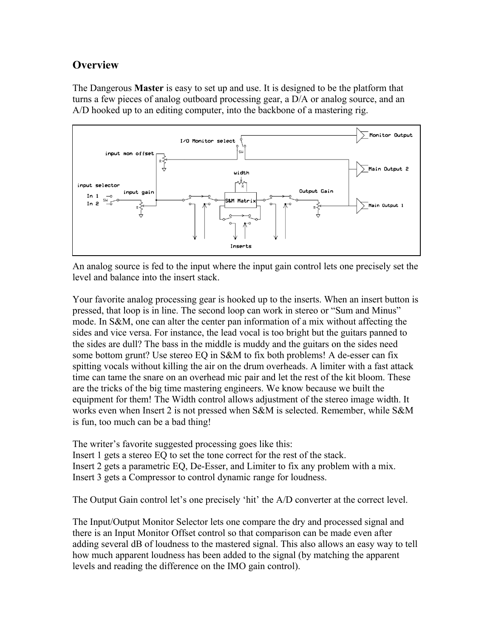## **Overview**

The Dangerous **Master** is easy to set up and use. It is designed to be the platform that turns a few pieces of analog outboard processing gear, a D/A or analog source, and an A/D hooked up to an editing computer, into the backbone of a mastering rig.



An analog source is fed to the input where the input gain control lets one precisely set the level and balance into the insert stack.

Your favorite analog processing gear is hooked up to the inserts. When an insert button is pressed, that loop is in line. The second loop can work in stereo or "Sum and Minus" mode. In S&M, one can alter the center pan information of a mix without affecting the sides and vice versa. For instance, the lead vocal is too bright but the guitars panned to the sides are dull? The bass in the middle is muddy and the guitars on the sides need some bottom grunt? Use stereo EQ in S&M to fix both problems! A de-esser can fix spitting vocals without killing the air on the drum overheads. A limiter with a fast attack time can tame the snare on an overhead mic pair and let the rest of the kit bloom. These are the tricks of the big time mastering engineers. We know because we built the equipment for them! The Width control allows adjustment of the stereo image width. It works even when Insert 2 is not pressed when S&M is selected. Remember, while S&M is fun, too much can be a bad thing!

The writer's favorite suggested processing goes like this:

Insert 1 gets a stereo EQ to set the tone correct for the rest of the stack. Insert 2 gets a parametric EQ, De-Esser, and Limiter to fix any problem with a mix. Insert 3 gets a Compressor to control dynamic range for loudness.

The Output Gain control let's one precisely 'hit' the A/D converter at the correct level.

The Input/Output Monitor Selector lets one compare the dry and processed signal and there is an Input Monitor Offset control so that comparison can be made even after adding several dB of loudness to the mastered signal. This also allows an easy way to tell how much apparent loudness has been added to the signal (by matching the apparent levels and reading the difference on the IMO gain control).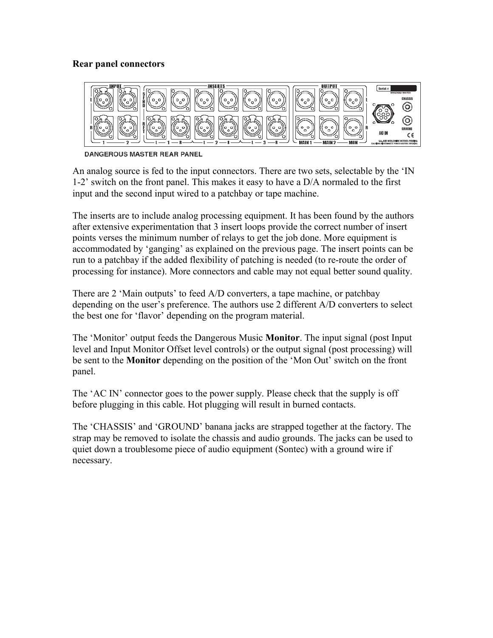#### **Rear panel connectors**



**DANGEROUS MASTER REAR PANEL** 

An analog source is fed to the input connectors. There are two sets, selectable by the 'IN 1-2' switch on the front panel. This makes it easy to have a D/A normaled to the first input and the second input wired to a patchbay or tape machine.

The inserts are to include analog processing equipment. It has been found by the authors after extensive experimentation that 3 insert loops provide the correct number of insert points verses the minimum number of relays to get the job done. More equipment is accommodated by 'ganging' as explained on the previous page. The insert points can be run to a patchbay if the added flexibility of patching is needed (to re-route the order of processing for instance). More connectors and cable may not equal better sound quality.

There are 2 'Main outputs' to feed A/D converters, a tape machine, or patchbay depending on the user's preference. The authors use 2 different A/D converters to select the best one for 'flavor' depending on the program material.

The 'Monitor' output feeds the Dangerous Music **Monitor**. The input signal (post Input level and Input Monitor Offset level controls) or the output signal (post processing) will be sent to the **Monitor** depending on the position of the 'Mon Out' switch on the front panel.

The 'AC IN' connector goes to the power supply. Please check that the supply is off before plugging in this cable. Hot plugging will result in burned contacts.

The 'CHASSIS' and 'GROUND' banana jacks are strapped together at the factory. The strap may be removed to isolate the chassis and audio grounds. The jacks can be used to quiet down a troublesome piece of audio equipment (Sontec) with a ground wire if necessary.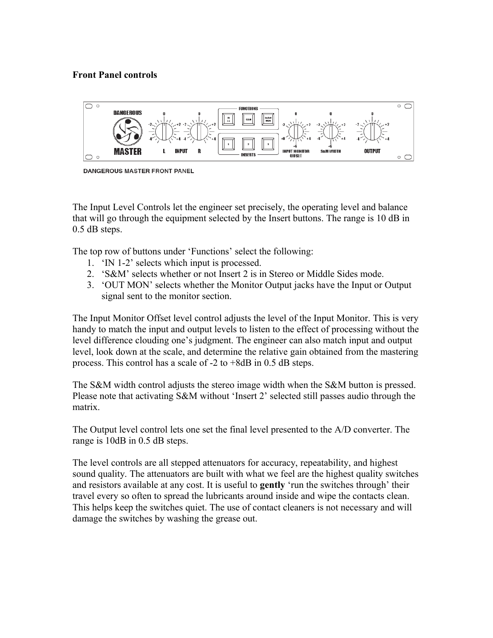### **Front Panel controls**



**DANGEROUS MASTER FRONT PANEL** 

The Input Level Controls let the engineer set precisely, the operating level and balance that will go through the equipment selected by the Insert buttons. The range is 10 dB in 0.5 dB steps.

The top row of buttons under 'Functions' select the following:

- 1. 'IN 1-2' selects which input is processed.
- 2. 'S&M' selects whether or not Insert 2 is in Stereo or Middle Sides mode.
- 3. 'OUT MON' selects whether the Monitor Output jacks have the Input or Output signal sent to the monitor section.

The Input Monitor Offset level control adjusts the level of the Input Monitor. This is very handy to match the input and output levels to listen to the effect of processing without the level difference clouding one's judgment. The engineer can also match input and output level, look down at the scale, and determine the relative gain obtained from the mastering process. This control has a scale of -2 to +8dB in 0.5 dB steps.

The S&M width control adjusts the stereo image width when the S&M button is pressed. Please note that activating S&M without 'Insert 2' selected still passes audio through the matrix.

The Output level control lets one set the final level presented to the A/D converter. The range is 10dB in 0.5 dB steps.

The level controls are all stepped attenuators for accuracy, repeatability, and highest sound quality. The attenuators are built with what we feel are the highest quality switches and resistors available at any cost. It is useful to **gently** 'run the switches through' their travel every so often to spread the lubricants around inside and wipe the contacts clean. This helps keep the switches quiet. The use of contact cleaners is not necessary and will damage the switches by washing the grease out.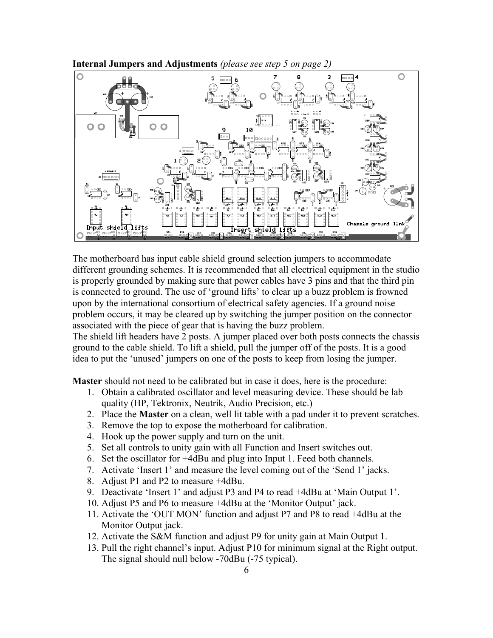

**Internal Jumpers and Adjustments** *(please see step 5 on page 2)*

The motherboard has input cable shield ground selection jumpers to accommodate different grounding schemes. It is recommended that all electrical equipment in the studio is properly grounded by making sure that power cables have 3 pins and that the third pin is connected to ground. The use of 'ground lifts' to clear up a buzz problem is frowned upon by the international consortium of electrical safety agencies. If a ground noise problem occurs, it may be cleared up by switching the jumper position on the connector associated with the piece of gear that is having the buzz problem.

The shield lift headers have 2 posts. A jumper placed over both posts connects the chassis ground to the cable shield. To lift a shield, pull the jumper off of the posts. It is a good idea to put the 'unused' jumpers on one of the posts to keep from losing the jumper.

**Master** should not need to be calibrated but in case it does, here is the procedure:

- 1. Obtain a calibrated oscillator and level measuring device. These should be lab quality (HP, Tektronix, Neutrik, Audio Precision, etc.)
- 2. Place the **Master** on a clean, well lit table with a pad under it to prevent scratches.
- 3. Remove the top to expose the motherboard for calibration.
- 4. Hook up the power supply and turn on the unit.
- 5. Set all controls to unity gain with all Function and Insert switches out.
- 6. Set the oscillator for +4dBu and plug into Input 1. Feed both channels.
- 7. Activate 'Insert 1' and measure the level coming out of the 'Send 1' jacks.
- 8. Adjust P1 and P2 to measure +4dBu.
- 9. Deactivate 'Insert 1' and adjust P3 and P4 to read +4dBu at 'Main Output 1'.
- 10. Adjust P5 and P6 to measure +4dBu at the 'Monitor Output' jack.
- 11. Activate the 'OUT MON' function and adjust P7 and P8 to read +4dBu at the Monitor Output jack.
- 12. Activate the S&M function and adjust P9 for unity gain at Main Output 1.
- 13. Pull the right channel's input. Adjust P10 for minimum signal at the Right output. The signal should null below -70dBu (-75 typical).